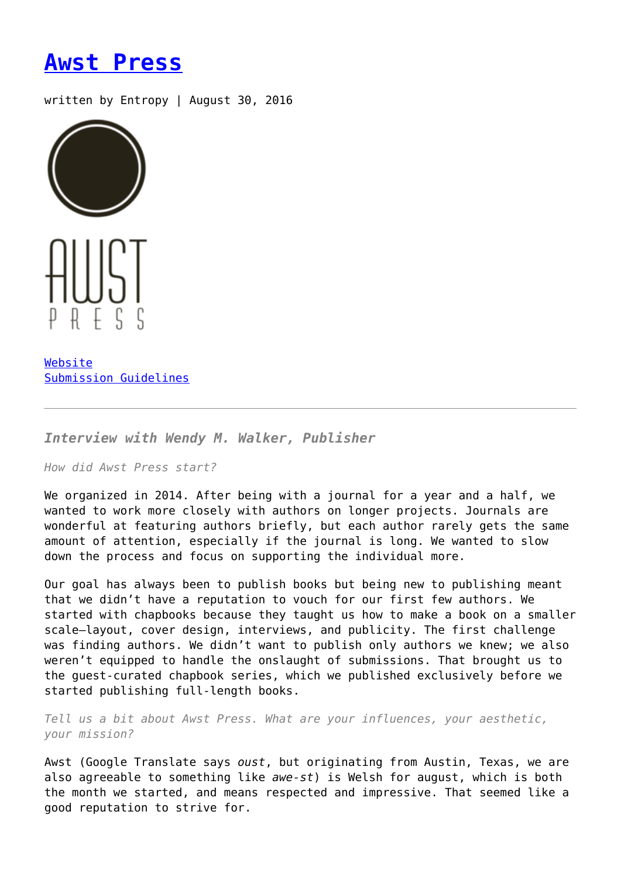

written by Entropy | August 30, 2016



[Website](http://www.awst-press.com/) [Submission Guidelines](http://www.awst-press.com/submissions)

*Interview with Wendy M. Walker, Publisher*

*How did Awst Press start?*

We organized in 2014. After being with a journal for a year and a half, we wanted to work more closely with authors on longer projects. Journals are wonderful at featuring authors briefly, but each author rarely gets the same amount of attention, especially if the journal is long. We wanted to slow down the process and focus on supporting the individual more.

Our goal has always been to publish books but being new to publishing meant that we didn't have a reputation to vouch for our first few authors. We started with chapbooks because they taught us how to make a book on a smaller scale—layout, cover design, interviews, and publicity. The first challenge was finding authors. We didn't want to publish only authors we knew; we also weren't equipped to handle the onslaught of submissions. That brought us to the guest-curated chapbook series, which we published exclusively before we started publishing full-length books.

*Tell us a bit about Awst Press. What are your influences, your aesthetic, your mission?*

Awst (Google Translate says *oust*, but originating from Austin, Texas, we are also agreeable to something like *awe-st*) is Welsh for august, which is both the month we started, and means respected and impressive. That seemed like a good reputation to strive for.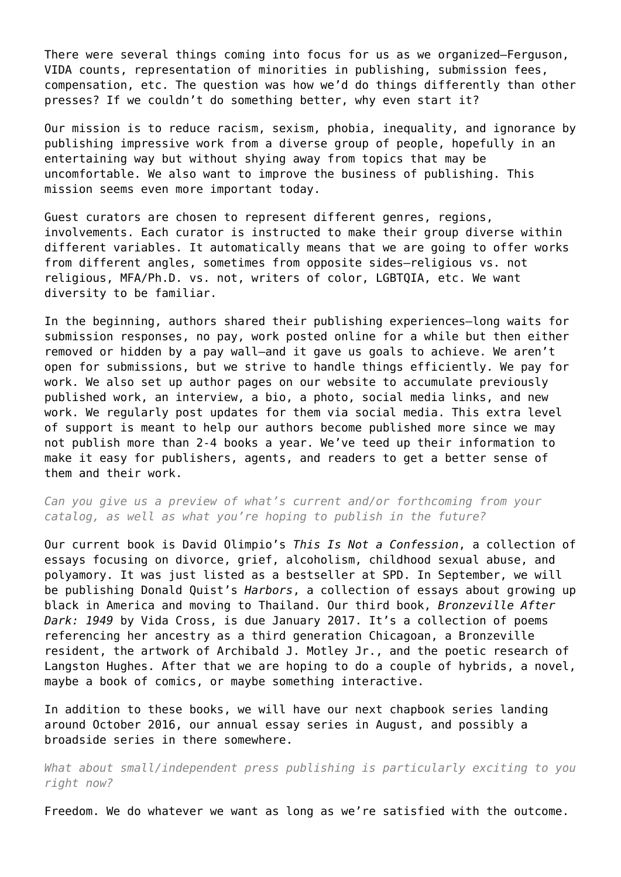There were several things coming into focus for us as we organized—Ferguson, VIDA counts, representation of minorities in publishing, submission fees, compensation, etc. The question was how we'd do things differently than other presses? If we couldn't do something better, why even start it?

Our mission is to reduce racism, sexism, phobia, inequality, and ignorance by publishing impressive work from a diverse group of people, hopefully in an entertaining way but without shying away from topics that may be uncomfortable. We also want to improve the business of publishing. This mission seems even more important today.

Guest curators are chosen to represent different genres, regions, involvements. Each curator is instructed to make their group diverse within different variables. It automatically means that we are going to offer works from different angles, sometimes from opposite sides—religious vs. not religious, MFA/Ph.D. vs. not, writers of color, LGBTQIA, etc. We want diversity to be familiar.

In the beginning, authors shared their publishing experiences—long waits for submission responses, no pay, work posted online for a while but then either removed or hidden by a pay wall—and it gave us goals to achieve. We aren't open for submissions, but we strive to handle things efficiently. We pay for work. We also set up author pages on our website to accumulate previously published work, an interview, a bio, a photo, social media links, and new work. We regularly post updates for them via social media. This extra level of support is meant to help our authors become published more since we may not publish more than 2-4 books a year. We've teed up their information to make it easy for publishers, agents, and readers to get a better sense of them and their work.

*Can you give us a preview of what's current and/or forthcoming from your catalog, as well as what you're hoping to publish in the future?*

Our current book is David Olimpio's *This Is Not a Confession*, a collection of essays focusing on divorce, grief, alcoholism, childhood sexual abuse, and polyamory. It was just listed as a bestseller at SPD. In September, we will be publishing Donald Quist's *Harbors*, a collection of essays about growing up black in America and moving to Thailand. Our third book, *Bronzeville After Dark: 1949* by Vida Cross, is due January 2017. It's a collection of poems referencing her ancestry as a third generation Chicagoan, a Bronzeville resident, the artwork of Archibald J. Motley Jr., and the poetic research of Langston Hughes. After that we are hoping to do a couple of hybrids, a novel, maybe a book of comics, or maybe something interactive.

In addition to these books, we will have our next chapbook series landing around October 2016, our annual essay series in August, and possibly a broadside series in there somewhere.

*What about small/independent press publishing is particularly exciting to you right now?*

Freedom. We do whatever we want as long as we're satisfied with the outcome.